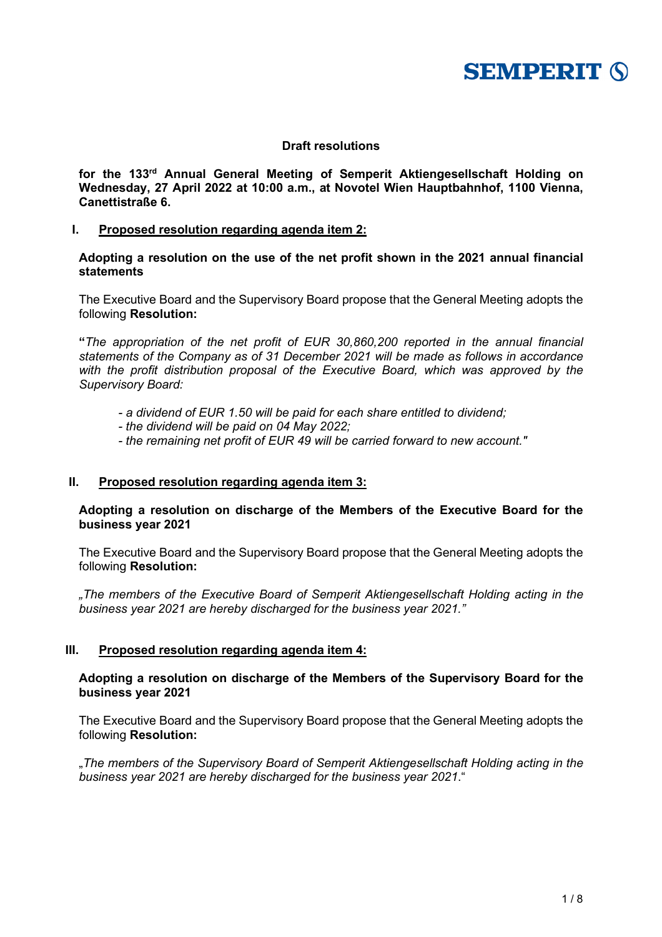

# **Draft resolutions**

**for the 133rd Annual General Meeting of Semperit Aktiengesellschaft Holding on Wednesday, 27 April 2022 at 10:00 a.m., at Novotel Wien Hauptbahnhof, 1100 Vienna, Canettistraße 6.**

### **I. Proposed resolution regarding agenda item 2:**

### **Adopting a resolution on the use of the net profit shown in the 2021 annual financial statements**

The Executive Board and the Supervisory Board propose that the General Meeting adopts the following **Resolution:**

**"***The appropriation of the net profit of EUR 30,860,200 reported in the annual financial statements of the Company as of 31 December 2021 will be made as follows in accordance with the profit distribution proposal of the Executive Board, which was approved by the Supervisory Board:*

- *- a dividend of EUR 1.50 will be paid for each share entitled to dividend;*
- *- the dividend will be paid on 04 May 2022;*
- *- the remaining net profit of EUR 49 will be carried forward to new account."*

## **II. Proposed resolution regarding agenda item 3:**

## **Adopting a resolution on discharge of the Members of the Executive Board for the business year 2021**

The Executive Board and the Supervisory Board propose that the General Meeting adopts the following **Resolution:**

*"The members of the Executive Board of Semperit Aktiengesellschaft Holding acting in the business year 2021 are hereby discharged for the business year 2021."*

#### **III. Proposed resolution regarding agenda item 4:**

## **Adopting a resolution on discharge of the Members of the Supervisory Board for the business year 2021**

The Executive Board and the Supervisory Board propose that the General Meeting adopts the following **Resolution:**

"*The members of the Supervisory Board of Semperit Aktiengesellschaft Holding acting in the business year 2021 are hereby discharged for the business year 2021*."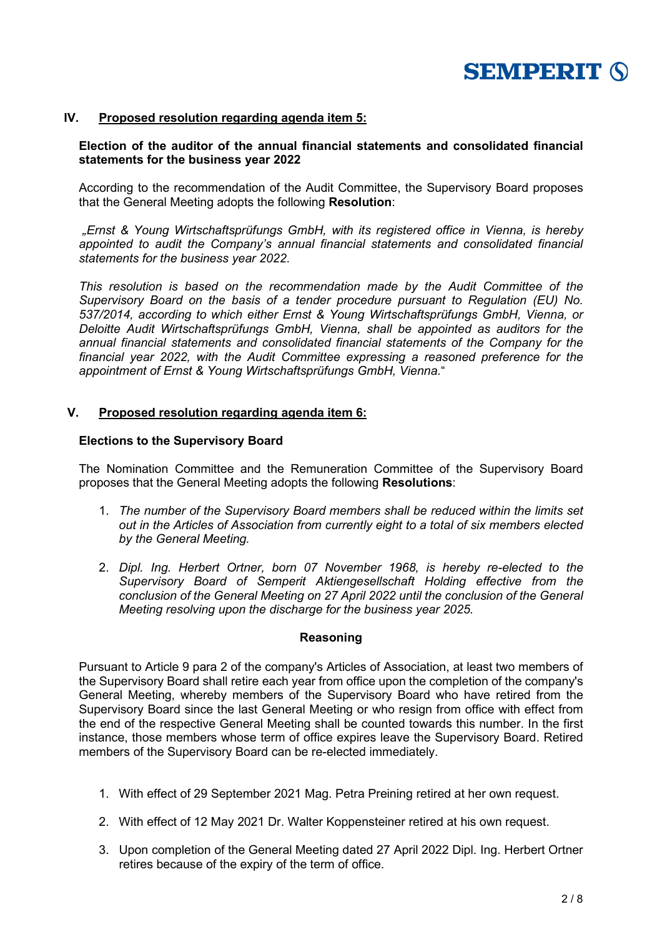

## **IV. Proposed resolution regarding agenda item 5:**

## **Election of the auditor of the annual financial statements and consolidated financial statements for the business year 2022**

According to the recommendation of the Audit Committee, the Supervisory Board proposes that the General Meeting adopts the following **Resolution**:

*"Ernst & Young Wirtschaftsprüfungs GmbH, with its registered office in Vienna, is hereby appointed to audit the Company's annual financial statements and consolidated financial statements for the business year 2022*.

*This resolution is based on the recommendation made by the Audit Committee of the Supervisory Board on the basis of a tender procedure pursuant to Regulation (EU) No. 537/2014, according to which either Ernst & Young Wirtschaftsprüfungs GmbH, Vienna, or Deloitte Audit Wirtschaftsprüfungs GmbH, Vienna, shall be appointed as auditors for the annual financial statements and consolidated financial statements of the Company for the financial year 2022, with the Audit Committee expressing a reasoned preference for the appointment of Ernst & Young Wirtschaftsprüfungs GmbH, Vienna.*"

## **V. Proposed resolution regarding agenda item 6:**

#### **Elections to the Supervisory Board**

The Nomination Committee and the Remuneration Committee of the Supervisory Board proposes that the General Meeting adopts the following **Resolutions**:

- 1. *The number of the Supervisory Board members shall be reduced within the limits set out in the Articles of Association from currently eight to a total of six members elected by the General Meeting.*
- 2. *Dipl. Ing. Herbert Ortner, born 07 November 1968, is hereby re-elected to the Supervisory Board of Semperit Aktiengesellschaft Holding effective from the conclusion of the General Meeting on 27 April 2022 until the conclusion of the General Meeting resolving upon the discharge for the business year 2025.*

#### **Reasoning**

Pursuant to Article 9 para 2 of the company's Articles of Association, at least two members of the Supervisory Board shall retire each year from office upon the completion of the company's General Meeting, whereby members of the Supervisory Board who have retired from the Supervisory Board since the last General Meeting or who resign from office with effect from the end of the respective General Meeting shall be counted towards this number. In the first instance, those members whose term of office expires leave the Supervisory Board. Retired members of the Supervisory Board can be re-elected immediately.

- 1. With effect of 29 September 2021 Mag. Petra Preining retired at her own request.
- 2. With effect of 12 May 2021 Dr. Walter Koppensteiner retired at his own request.
- 3. Upon completion of the General Meeting dated 27 April 2022 Dipl. Ing. Herbert Ortner retires because of the expiry of the term of office.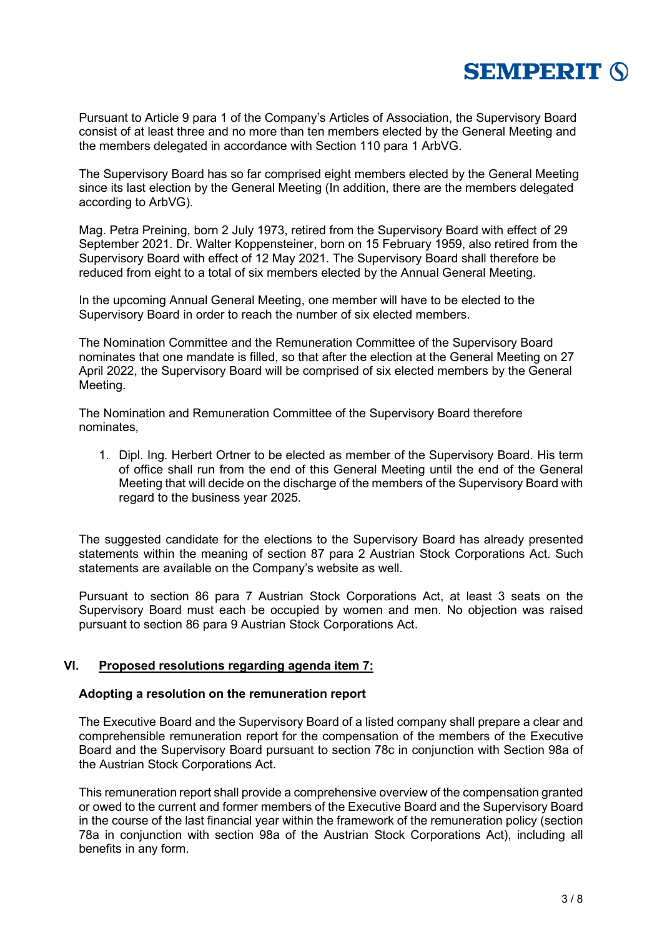

Pursuant to Article 9 para 1 of the Company's Articles of Association, the Supervisory Board consist of at least three and no more than ten members elected by the General Meeting and the members delegated in accordance with Section 110 para 1 ArbVG.

The Supervisory Board has so far comprised eight members elected by the General Meeting since its last election by the General Meeting (In addition, there are the members delegated according to ArbVG).

Mag. Petra Preining, born 2 July 1973, retired from the Supervisory Board with effect of 29 September 2021. Dr. Walter Koppensteiner, born on 15 February 1959, also retired from the Supervisory Board with effect of 12 May 2021. The Supervisory Board shall therefore be reduced from eight to a total of six members elected by the Annual General Meeting.

In the upcoming Annual General Meeting, one member will have to be elected to the Supervisory Board in order to reach the number of six elected members.

The Nomination Committee and the Remuneration Committee of the Supervisory Board nominates that one mandate is filled, so that after the election at the General Meeting on 27 April 2022, the Supervisory Board will be comprised of six elected members by the General Meeting.

The Nomination and Remuneration Committee of the Supervisory Board therefore nominates,

1. Dipl. Ing. Herbert Ortner to be elected as member of the Supervisory Board. His term of office shall run from the end of this General Meeting until the end of the General Meeting that will decide on the discharge of the members of the Supervisory Board with regard to the business year 2025.

The suggested candidate for the elections to the Supervisory Board has already presented statements within the meaning of section 87 para 2 Austrian Stock Corporations Act. Such statements are available on the Company's website as well.

Pursuant to section 86 para 7 Austrian Stock Corporations Act, at least 3 seats on the Supervisory Board must each be occupied by women and men. No objection was raised pursuant to section 86 para 9 Austrian Stock Corporations Act.

#### **VI. Proposed resolutions regarding agenda item 7:**

#### **Adopting a resolution on the remuneration report**

The Executive Board and the Supervisory Board of a listed company shall prepare a clear and comprehensible remuneration report for the compensation of the members of the Executive Board and the Supervisory Board pursuant to section 78c in conjunction with Section 98a of the Austrian Stock Corporations Act.

This remuneration report shall provide a comprehensive overview of the compensation granted or owed to the current and former members of the Executive Board and the Supervisory Board in the course of the last financial year within the framework of the remuneration policy (section 78a in conjunction with section 98a of the Austrian Stock Corporations Act), including all benefits in any form.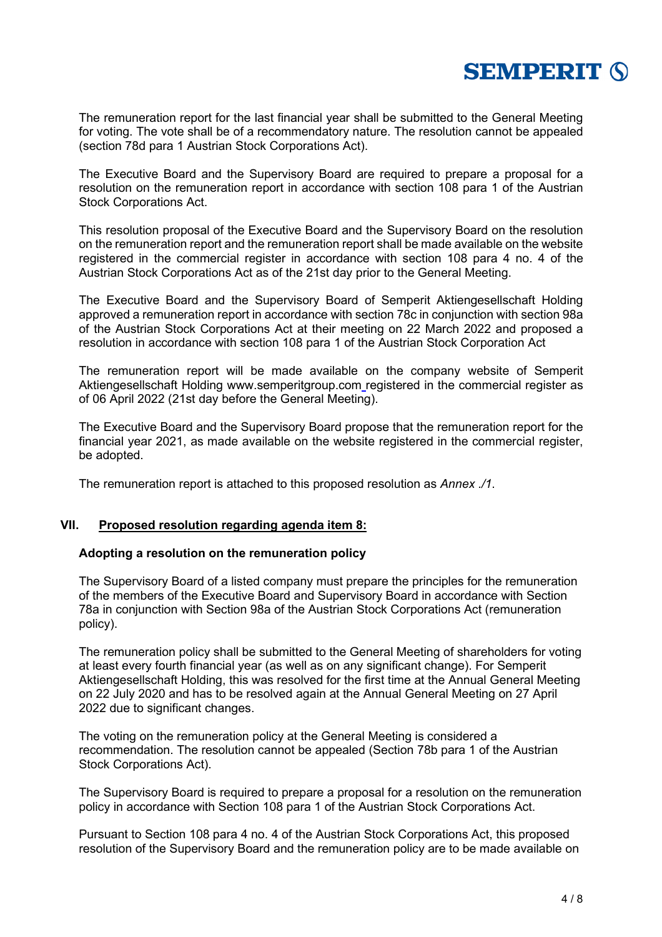

The remuneration report for the last financial year shall be submitted to the General Meeting for voting. The vote shall be of a recommendatory nature. The resolution cannot be appealed (section 78d para 1 Austrian Stock Corporations Act).

The Executive Board and the Supervisory Board are required to prepare a proposal for a resolution on the remuneration report in accordance with section 108 para 1 of the Austrian Stock Corporations Act.

This resolution proposal of the Executive Board and the Supervisory Board on the resolution on the remuneration report and the remuneration report shall be made available on the website registered in the commercial register in accordance with section 108 para 4 no. 4 of the Austrian Stock Corporations Act as of the 21st day prior to the General Meeting.

The Executive Board and the Supervisory Board of Semperit Aktiengesellschaft Holding approved a remuneration report in accordance with section 78c in conjunction with section 98a of the Austrian Stock Corporations Act at their meeting on 22 March 2022 and proposed a resolution in accordance with section 108 para 1 of the Austrian Stock Corporation Act

The remuneration report will be made available on the company website of Semperit Aktiengesellschaft Holding www.semperitgroup.com registered in the commercial register as of 06 April 2022 (21st day before the General Meeting).

The Executive Board and the Supervisory Board propose that the remuneration report for the financial year 2021, as made available on the website registered in the commercial register, be adopted.

The remuneration report is attached to this proposed resolution as *Annex ./1*.

## **VII. Proposed resolution regarding agenda item 8:**

#### **Adopting a resolution on the remuneration policy**

The Supervisory Board of a listed company must prepare the principles for the remuneration of the members of the Executive Board and Supervisory Board in accordance with Section 78a in conjunction with Section 98a of the Austrian Stock Corporations Act (remuneration policy).

The remuneration policy shall be submitted to the General Meeting of shareholders for voting at least every fourth financial year (as well as on any significant change). For Semperit Aktiengesellschaft Holding, this was resolved for the first time at the Annual General Meeting on 22 July 2020 and has to be resolved again at the Annual General Meeting on 27 April 2022 due to significant changes.

The voting on the remuneration policy at the General Meeting is considered a recommendation. The resolution cannot be appealed (Section 78b para 1 of the Austrian Stock Corporations Act).

The Supervisory Board is required to prepare a proposal for a resolution on the remuneration policy in accordance with Section 108 para 1 of the Austrian Stock Corporations Act.

Pursuant to Section 108 para 4 no. 4 of the Austrian Stock Corporations Act, this proposed resolution of the Supervisory Board and the remuneration policy are to be made available on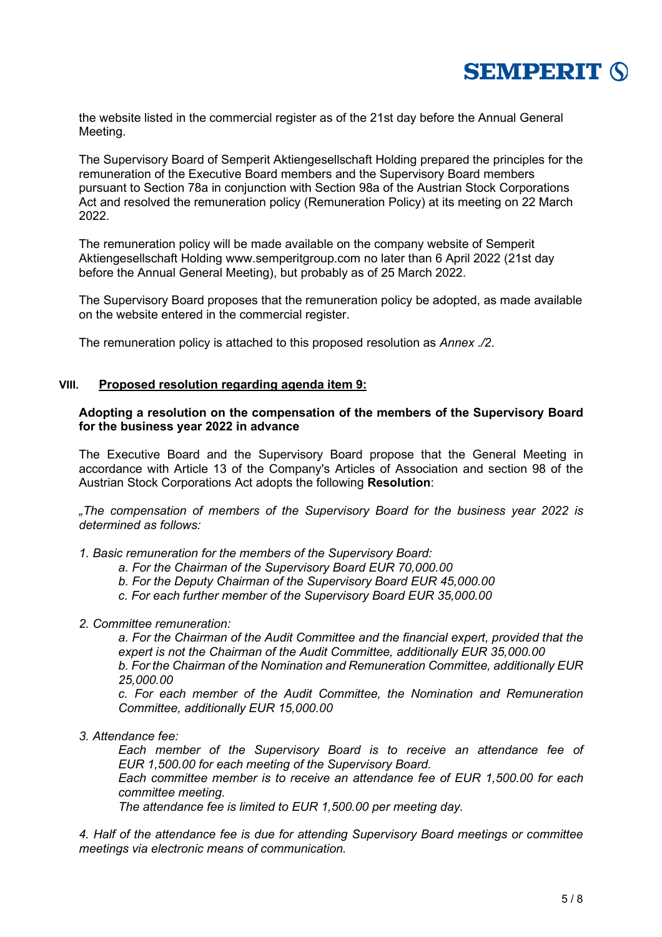

the website listed in the commercial register as of the 21st day before the Annual General Meeting.

The Supervisory Board of Semperit Aktiengesellschaft Holding prepared the principles for the remuneration of the Executive Board members and the Supervisory Board members pursuant to Section 78a in conjunction with Section 98a of the Austrian Stock Corporations Act and resolved the remuneration policy (Remuneration Policy) at its meeting on 22 March 2022.

The remuneration policy will be made available on the company website of Semperit Aktiengesellschaft Holding www.semperitgroup.com no later than 6 April 2022 (21st day before the Annual General Meeting), but probably as of 25 March 2022.

The Supervisory Board proposes that the remuneration policy be adopted, as made available on the website entered in the commercial register.

The remuneration policy is attached to this proposed resolution as *Annex ./2*.

#### **VIII. Proposed resolution regarding agenda item 9:**

#### **Adopting a resolution on the compensation of the members of the Supervisory Board for the business year 2022 in advance**

The Executive Board and the Supervisory Board propose that the General Meeting in accordance with Article 13 of the Company's Articles of Association and section 98 of the Austrian Stock Corporations Act adopts the following **Resolution**:

*"The compensation of members of the Supervisory Board for the business year 2022 is determined as follows:*

*1. Basic remuneration for the members of the Supervisory Board:*

- *a. For the Chairman of the Supervisory Board EUR 70,000.00*
- *b. For the Deputy Chairman of the Supervisory Board EUR 45,000.00*
- *c. For each further member of the Supervisory Board EUR 35,000.00*
- *2. Committee remuneration:*

*a. For the Chairman of the Audit Committee and the financial expert, provided that the expert is not the Chairman of the Audit Committee, additionally EUR 35,000.00 b. For the Chairman of the Nomination and Remuneration Committee, additionally EUR 25,000.00*

*c. For each member of the Audit Committee, the Nomination and Remuneration Committee, additionally EUR 15,000.00*

*3. Attendance fee:* 

*Each member of the Supervisory Board is to receive an attendance fee of EUR 1,500.00 for each meeting of the Supervisory Board.*

*Each committee member is to receive an attendance fee of EUR 1,500.00 for each committee meeting.* 

*The attendance fee is limited to EUR 1,500.00 per meeting day.*

*4. Half of the attendance fee is due for attending Supervisory Board meetings or committee meetings via electronic means of communication.*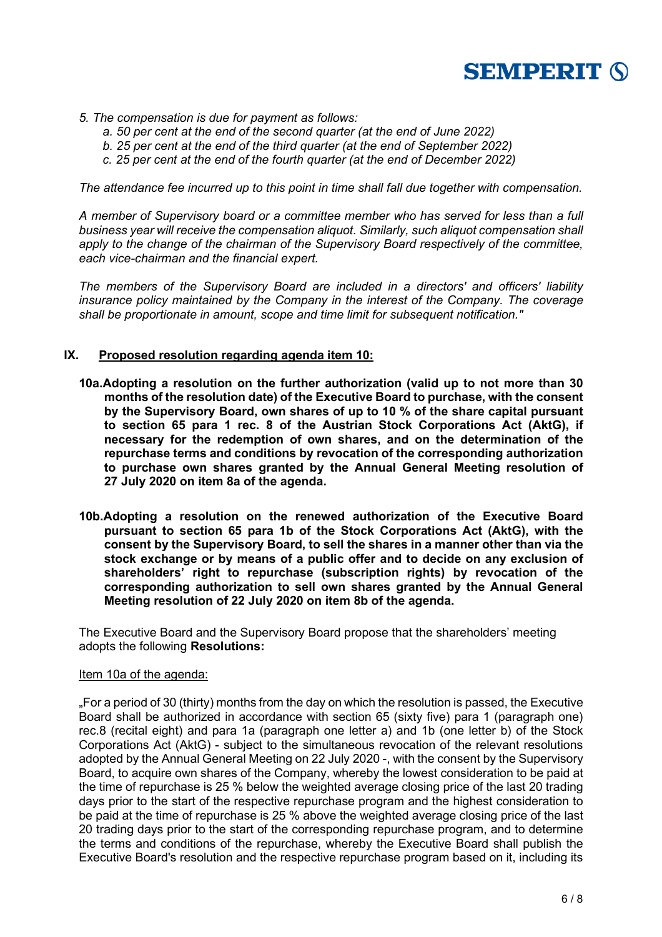

- *5. The compensation is due for payment as follows:* 
	- *a. 50 per cent at the end of the second quarter (at the end of June 2022)*
	- *b. 25 per cent at the end of the third quarter (at the end of September 2022)*
	- *c. 25 per cent at the end of the fourth quarter (at the end of December 2022)*

*The attendance fee incurred up to this point in time shall fall due together with compensation.* 

*A member of Supervisory board or a committee member who has served for less than a full business year will receive the compensation aliquot. Similarly, such aliquot compensation shall apply to the change of the chairman of the Supervisory Board respectively of the committee, each vice-chairman and the financial expert.*

*The members of the Supervisory Board are included in a directors' and officers' liability insurance policy maintained by the Company in the interest of the Company. The coverage shall be proportionate in amount, scope and time limit for subsequent notification."*

## **IX. Proposed resolution regarding agenda item 10:**

- **10a.Adopting a resolution on the further authorization (valid up to not more than 30 months of the resolution date) of the Executive Board to purchase, with the consent by the Supervisory Board, own shares of up to 10 % of the share capital pursuant to section 65 para 1 rec. 8 of the Austrian Stock Corporations Act (AktG), if necessary for the redemption of own shares, and on the determination of the repurchase terms and conditions by revocation of the corresponding authorization to purchase own shares granted by the Annual General Meeting resolution of 27 July 2020 on item 8a of the agenda.**
- **10b.Adopting a resolution on the renewed authorization of the Executive Board pursuant to section 65 para 1b of the Stock Corporations Act (AktG), with the consent by the Supervisory Board, to sell the shares in a manner other than via the stock exchange or by means of a public offer and to decide on any exclusion of shareholders' right to repurchase (subscription rights) by revocation of the corresponding authorization to sell own shares granted by the Annual General Meeting resolution of 22 July 2020 on item 8b of the agenda.**

The Executive Board and the Supervisory Board propose that the shareholders' meeting adopts the following **Resolutions:**

#### Item 10a of the agenda:

"For a period of 30 (thirty) months from the day on which the resolution is passed, the Executive Board shall be authorized in accordance with section 65 (sixty five) para 1 (paragraph one) rec.8 (recital eight) and para 1a (paragraph one letter a) and 1b (one letter b) of the Stock Corporations Act (AktG) - subject to the simultaneous revocation of the relevant resolutions adopted by the Annual General Meeting on 22 July 2020 -, with the consent by the Supervisory Board, to acquire own shares of the Company, whereby the lowest consideration to be paid at the time of repurchase is 25 % below the weighted average closing price of the last 20 trading days prior to the start of the respective repurchase program and the highest consideration to be paid at the time of repurchase is 25 % above the weighted average closing price of the last 20 trading days prior to the start of the corresponding repurchase program, and to determine the terms and conditions of the repurchase, whereby the Executive Board shall publish the Executive Board's resolution and the respective repurchase program based on it, including its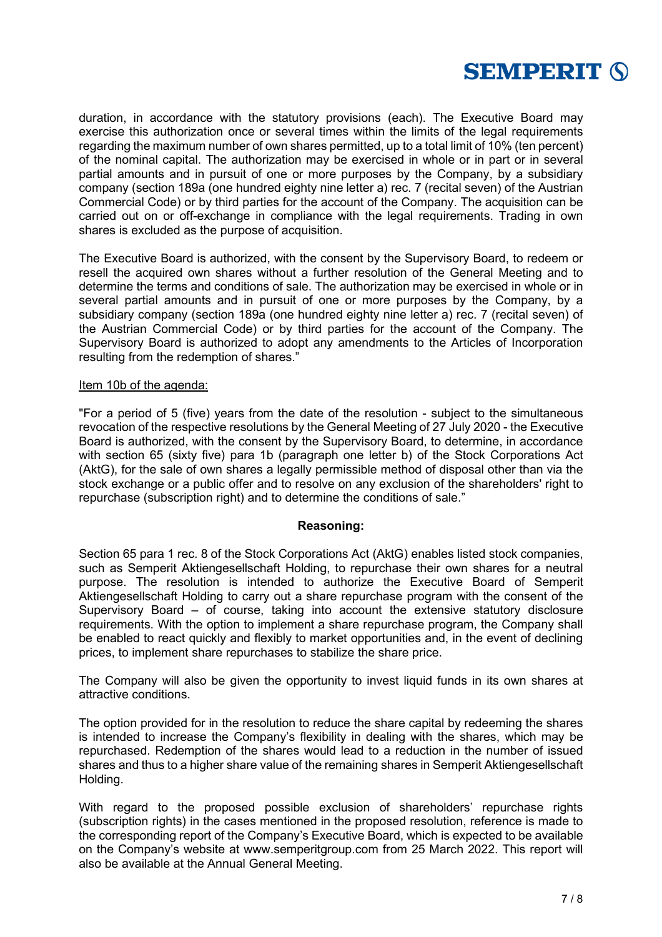

duration, in accordance with the statutory provisions (each). The Executive Board may exercise this authorization once or several times within the limits of the legal requirements regarding the maximum number of own shares permitted, up to a total limit of 10% (ten percent) of the nominal capital. The authorization may be exercised in whole or in part or in several partial amounts and in pursuit of one or more purposes by the Company, by a subsidiary company (section 189a (one hundred eighty nine letter a) rec. 7 (recital seven) of the Austrian Commercial Code) or by third parties for the account of the Company. The acquisition can be carried out on or off-exchange in compliance with the legal requirements. Trading in own shares is excluded as the purpose of acquisition.

The Executive Board is authorized, with the consent by the Supervisory Board, to redeem or resell the acquired own shares without a further resolution of the General Meeting and to determine the terms and conditions of sale. The authorization may be exercised in whole or in several partial amounts and in pursuit of one or more purposes by the Company, by a subsidiary company (section 189a (one hundred eighty nine letter a) rec. 7 (recital seven) of the Austrian Commercial Code) or by third parties for the account of the Company. The Supervisory Board is authorized to adopt any amendments to the Articles of Incorporation resulting from the redemption of shares."

### Item 10b of the agenda:

"For a period of 5 (five) years from the date of the resolution - subject to the simultaneous revocation of the respective resolutions by the General Meeting of 27 July 2020 - the Executive Board is authorized, with the consent by the Supervisory Board, to determine, in accordance with section 65 (sixty five) para 1b (paragraph one letter b) of the Stock Corporations Act (AktG), for the sale of own shares a legally permissible method of disposal other than via the stock exchange or a public offer and to resolve on any exclusion of the shareholders' right to repurchase (subscription right) and to determine the conditions of sale."

#### **Reasoning:**

Section 65 para 1 rec. 8 of the Stock Corporations Act (AktG) enables listed stock companies, such as Semperit Aktiengesellschaft Holding, to repurchase their own shares for a neutral purpose. The resolution is intended to authorize the Executive Board of Semperit Aktiengesellschaft Holding to carry out a share repurchase program with the consent of the Supervisory Board – of course, taking into account the extensive statutory disclosure requirements. With the option to implement a share repurchase program, the Company shall be enabled to react quickly and flexibly to market opportunities and, in the event of declining prices, to implement share repurchases to stabilize the share price.

The Company will also be given the opportunity to invest liquid funds in its own shares at attractive conditions.

The option provided for in the resolution to reduce the share capital by redeeming the shares is intended to increase the Company's flexibility in dealing with the shares, which may be repurchased. Redemption of the shares would lead to a reduction in the number of issued shares and thus to a higher share value of the remaining shares in Semperit Aktiengesellschaft Holding.

With regard to the proposed possible exclusion of shareholders' repurchase rights (subscription rights) in the cases mentioned in the proposed resolution, reference is made to the corresponding report of the Company's Executive Board, which is expected to be available on the Company's website at www.semperitgroup.com from 25 March 2022. This report will also be available at the Annual General Meeting.